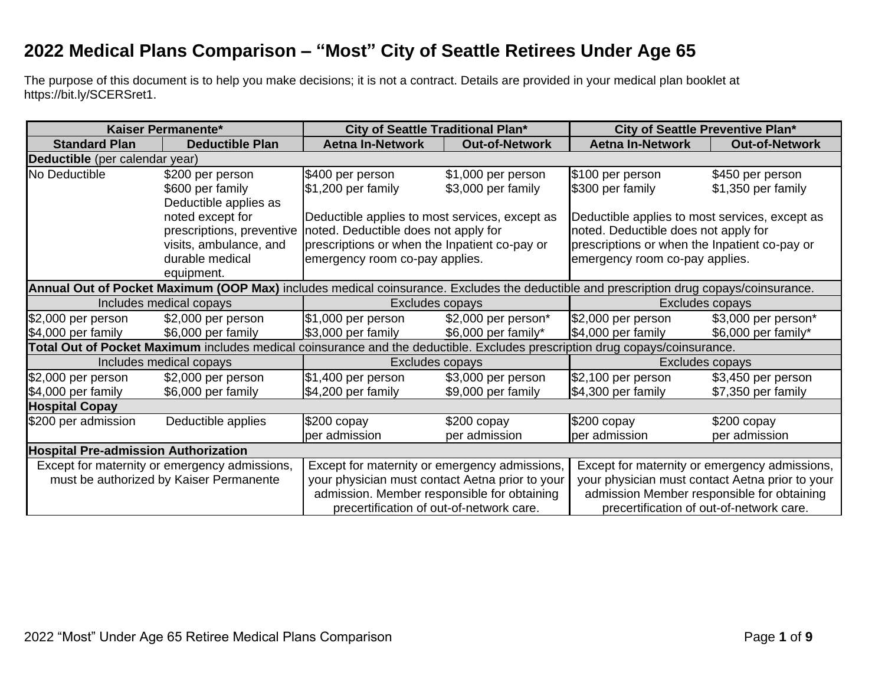## **2022 Medical Plans Comparison – "Most" City of Seattle Retirees Under Age 65**

The purpose of this document is to help you make decisions; it is not a contract. Details are provided in your medical plan booklet at https://bit.ly/SCERSret1.

| Kaiser Permanente*                                                                                                                     |                                                                                                                             | City of Seattle Traditional Plan*               |                       | <b>City of Seattle Preventive Plan*</b>         |                       |
|----------------------------------------------------------------------------------------------------------------------------------------|-----------------------------------------------------------------------------------------------------------------------------|-------------------------------------------------|-----------------------|-------------------------------------------------|-----------------------|
| <b>Standard Plan</b>                                                                                                                   | <b>Deductible Plan</b>                                                                                                      | <b>Aetna In-Network</b>                         | <b>Out-of-Network</b> | <b>Aetna In-Network</b>                         | <b>Out-of-Network</b> |
| Deductible (per calendar year)                                                                                                         |                                                                                                                             |                                                 |                       |                                                 |                       |
| No Deductible                                                                                                                          | \$200 per person                                                                                                            | \$400 per person                                | \$1,000 per person    | \$100 per person                                | \$450 per person      |
|                                                                                                                                        | \$600 per family                                                                                                            | $$1,200$ per family                             | \$3,000 per family    | \$300 per family                                | \$1,350 per family    |
|                                                                                                                                        | Deductible applies as                                                                                                       |                                                 |                       |                                                 |                       |
|                                                                                                                                        | noted except for                                                                                                            | Deductible applies to most services, except as  |                       | Deductible applies to most services, except as  |                       |
|                                                                                                                                        | prescriptions, preventive                                                                                                   | noted. Deductible does not apply for            |                       | noted. Deductible does not apply for            |                       |
|                                                                                                                                        | visits, ambulance, and                                                                                                      | prescriptions or when the Inpatient co-pay or   |                       | prescriptions or when the Inpatient co-pay or   |                       |
|                                                                                                                                        | durable medical                                                                                                             | emergency room co-pay applies.                  |                       | emergency room co-pay applies.                  |                       |
|                                                                                                                                        | equipment.                                                                                                                  |                                                 |                       |                                                 |                       |
| Annual Out of Pocket Maximum (OOP Max) includes medical coinsurance. Excludes the deductible and prescription drug copays/coinsurance. |                                                                                                                             |                                                 |                       |                                                 |                       |
|                                                                                                                                        | Includes medical copays                                                                                                     | Excludes copays                                 |                       | Excludes copays                                 |                       |
| $$2,000$ per person                                                                                                                    | \$2,000 per person                                                                                                          | \$1,000 per person                              | \$2,000 per person*   | $$2,000$ per person                             | \$3,000 per person*   |
| \$4,000 per family                                                                                                                     | \$6,000 per family                                                                                                          | $$3,000$ per family                             | \$6,000 per family*   | \$4,000 per family                              | \$6,000 per family*   |
|                                                                                                                                        | Total Out of Pocket Maximum includes medical coinsurance and the deductible. Excludes prescription drug copays/coinsurance. |                                                 |                       |                                                 |                       |
|                                                                                                                                        | Includes medical copays                                                                                                     | <b>Excludes copays</b>                          |                       | Excludes copays                                 |                       |
| \$2,000 per person                                                                                                                     | \$2,000 per person                                                                                                          | \$1,400 per person                              | \$3,000 per person    | $$2,100$ per person                             | \$3,450 per person    |
| \$4,000 per family                                                                                                                     | \$6,000 per family                                                                                                          | \$4,200 per family                              | \$9,000 per family    | \$4,300 per family                              | \$7,350 per family    |
| <b>Hospital Copay</b>                                                                                                                  |                                                                                                                             |                                                 |                       |                                                 |                       |
| \$200 per admission                                                                                                                    | Deductible applies                                                                                                          | $$200$ copay                                    | $$200$ copay          | $$200$ copay                                    | $$200$ copay          |
|                                                                                                                                        |                                                                                                                             | per admission                                   | per admission         | per admission                                   | per admission         |
| <b>Hospital Pre-admission Authorization</b>                                                                                            |                                                                                                                             |                                                 |                       |                                                 |                       |
|                                                                                                                                        | Except for maternity or emergency admissions,                                                                               | Except for maternity or emergency admissions,   |                       | Except for maternity or emergency admissions,   |                       |
|                                                                                                                                        | must be authorized by Kaiser Permanente                                                                                     | your physician must contact Aetna prior to your |                       | your physician must contact Aetna prior to your |                       |
|                                                                                                                                        |                                                                                                                             | admission. Member responsible for obtaining     |                       | admission Member responsible for obtaining      |                       |
| precertification of out-of-network care.                                                                                               |                                                                                                                             | precertification of out-of-network care.        |                       |                                                 |                       |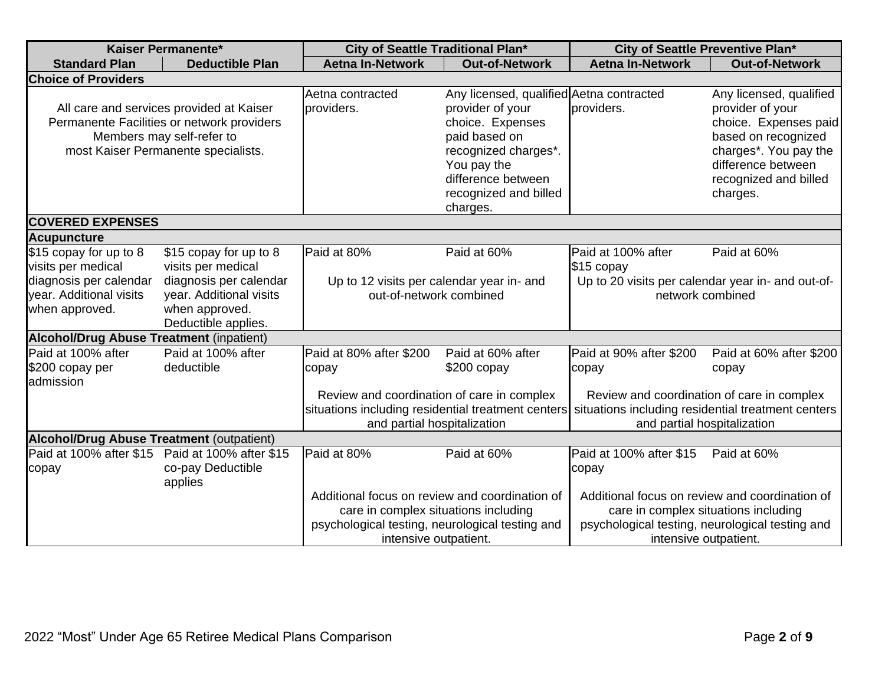| <b>Kaiser Permanente*</b>                                                                                                                                  |                                                                                                                                            | City of Seattle Traditional Plan*                                                                                                                                  |                                                                                                                                                                                                     | City of Seattle Preventive Plan*                                                                                                                                   |                                                                                                                                                                                 |  |  |
|------------------------------------------------------------------------------------------------------------------------------------------------------------|--------------------------------------------------------------------------------------------------------------------------------------------|--------------------------------------------------------------------------------------------------------------------------------------------------------------------|-----------------------------------------------------------------------------------------------------------------------------------------------------------------------------------------------------|--------------------------------------------------------------------------------------------------------------------------------------------------------------------|---------------------------------------------------------------------------------------------------------------------------------------------------------------------------------|--|--|
| <b>Standard Plan</b>                                                                                                                                       | <b>Deductible Plan</b>                                                                                                                     | <b>Aetna In-Network</b>                                                                                                                                            | <b>Out-of-Network</b>                                                                                                                                                                               | <b>Aetna In-Network</b>                                                                                                                                            | <b>Out-of-Network</b>                                                                                                                                                           |  |  |
| <b>Choice of Providers</b>                                                                                                                                 |                                                                                                                                            |                                                                                                                                                                    |                                                                                                                                                                                                     |                                                                                                                                                                    |                                                                                                                                                                                 |  |  |
| All care and services provided at Kaiser<br>Permanente Facilities or network providers<br>Members may self-refer to<br>most Kaiser Permanente specialists. |                                                                                                                                            | Aetna contracted<br>providers.                                                                                                                                     | Any licensed, qualified Aetna contracted<br>provider of your<br>choice. Expenses<br>paid based on<br>recognized charges*.<br>You pay the<br>difference between<br>recognized and billed<br>charges. | providers.                                                                                                                                                         | Any licensed, qualified<br>provider of your<br>choice. Expenses paid<br>based on recognized<br>charges*. You pay the<br>difference between<br>recognized and billed<br>charges. |  |  |
|                                                                                                                                                            | <b>COVERED EXPENSES</b>                                                                                                                    |                                                                                                                                                                    |                                                                                                                                                                                                     |                                                                                                                                                                    |                                                                                                                                                                                 |  |  |
| <b>Acupuncture</b>                                                                                                                                         |                                                                                                                                            |                                                                                                                                                                    |                                                                                                                                                                                                     |                                                                                                                                                                    |                                                                                                                                                                                 |  |  |
| \$15 copay for up to 8<br>visits per medical<br>diagnosis per calendar<br>year. Additional visits<br>when approved.                                        | \$15 copay for up to 8<br>visits per medical<br>diagnosis per calendar<br>year. Additional visits<br>when approved.<br>Deductible applies. | Paid at 80%<br>Paid at 60%<br>Up to 12 visits per calendar year in- and<br>out-of-network combined                                                                 |                                                                                                                                                                                                     | Paid at 100% after<br>Paid at 60%<br>\$15 copay<br>Up to 20 visits per calendar year in- and out-of-<br>network combined                                           |                                                                                                                                                                                 |  |  |
| <b>Alcohol/Drug Abuse Treatment (inpatient)</b>                                                                                                            |                                                                                                                                            |                                                                                                                                                                    |                                                                                                                                                                                                     |                                                                                                                                                                    |                                                                                                                                                                                 |  |  |
| Paid at 100% after<br>\$200 copay per<br>admission                                                                                                         | Paid at 100% after<br>deductible                                                                                                           | Paid at 80% after \$200<br>copay<br>Review and coordination of care in complex<br>situations including residential treatment centers                               | Paid at 60% after<br>$$200$ copay                                                                                                                                                                   | Paid at 90% after \$200<br>copay<br>Review and coordination of care in complex<br>situations including residential treatment centers                               | Paid at 60% after \$200<br>copay                                                                                                                                                |  |  |
|                                                                                                                                                            |                                                                                                                                            | and partial hospitalization                                                                                                                                        |                                                                                                                                                                                                     | and partial hospitalization                                                                                                                                        |                                                                                                                                                                                 |  |  |
| <b>Alcohol/Drug Abuse Treatment (outpatient)</b>                                                                                                           |                                                                                                                                            |                                                                                                                                                                    |                                                                                                                                                                                                     |                                                                                                                                                                    |                                                                                                                                                                                 |  |  |
| Paid at 100% after \$15<br>copay                                                                                                                           | Paid at 100% after \$15<br>co-pay Deductible<br>applies                                                                                    | Paid at 80%                                                                                                                                                        | Paid at 60%                                                                                                                                                                                         | Paid at 100% after \$15<br>copay                                                                                                                                   | Paid at 60%                                                                                                                                                                     |  |  |
|                                                                                                                                                            |                                                                                                                                            | Additional focus on review and coordination of<br>care in complex situations including<br>psychological testing, neurological testing and<br>intensive outpatient. |                                                                                                                                                                                                     | Additional focus on review and coordination of<br>care in complex situations including<br>psychological testing, neurological testing and<br>intensive outpatient. |                                                                                                                                                                                 |  |  |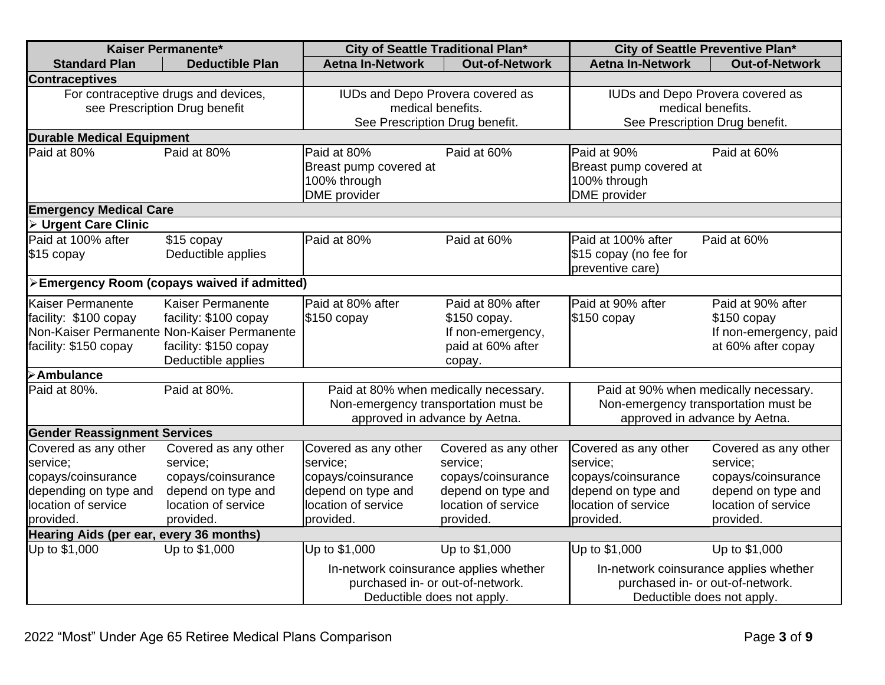| Kaiser Permanente*                                                                                                  |                                                                                                                                          | City of Seattle Traditional Plan*                                                                                                          |                                                                                                                  | City of Seattle Preventive Plan*                                                                                 |                                                                                                                           |  |  |
|---------------------------------------------------------------------------------------------------------------------|------------------------------------------------------------------------------------------------------------------------------------------|--------------------------------------------------------------------------------------------------------------------------------------------|------------------------------------------------------------------------------------------------------------------|------------------------------------------------------------------------------------------------------------------|---------------------------------------------------------------------------------------------------------------------------|--|--|
| <b>Standard Plan</b>                                                                                                | <b>Deductible Plan</b>                                                                                                                   | <b>Aetna In-Network</b>                                                                                                                    | <b>Out-of-Network</b>                                                                                            | <b>Aetna In-Network</b>                                                                                          | <b>Out-of-Network</b>                                                                                                     |  |  |
| <b>Contraceptives</b>                                                                                               |                                                                                                                                          |                                                                                                                                            |                                                                                                                  |                                                                                                                  |                                                                                                                           |  |  |
| For contraceptive drugs and devices,<br>see Prescription Drug benefit                                               |                                                                                                                                          | IUDs and Depo Provera covered as<br>medical benefits.<br>See Prescription Drug benefit.                                                    |                                                                                                                  | IUDs and Depo Provera covered as<br>medical benefits.<br>See Prescription Drug benefit.                          |                                                                                                                           |  |  |
| <b>Durable Medical Equipment</b>                                                                                    |                                                                                                                                          |                                                                                                                                            |                                                                                                                  |                                                                                                                  |                                                                                                                           |  |  |
| Paid at 80%                                                                                                         | Paid at 80%                                                                                                                              | Paid at 80%<br>Breast pump covered at<br>100% through<br><b>DME</b> provider                                                               | Paid at 60%                                                                                                      | Paid at 90%<br>Breast pump covered at<br>100% through<br><b>DME</b> provider                                     | Paid at 60%                                                                                                               |  |  |
| <b>Emergency Medical Care</b>                                                                                       |                                                                                                                                          |                                                                                                                                            |                                                                                                                  |                                                                                                                  |                                                                                                                           |  |  |
| <b>Urgent Care Clinic</b>                                                                                           |                                                                                                                                          |                                                                                                                                            |                                                                                                                  |                                                                                                                  |                                                                                                                           |  |  |
| Paid at 100% after<br>\$15 copay                                                                                    | \$15 copay<br>Deductible applies                                                                                                         | Paid at 80%                                                                                                                                | Paid at 60%                                                                                                      | Paid at 100% after<br>\$15 copay (no fee for<br>preventive care)                                                 | Paid at 60%                                                                                                               |  |  |
|                                                                                                                     | >Emergency Room (copays waived if admitted)                                                                                              |                                                                                                                                            |                                                                                                                  |                                                                                                                  |                                                                                                                           |  |  |
| <b>Kaiser Permanente</b><br>facility: \$100 copay<br>facility: \$150 copay                                          | Kaiser Permanente<br>facility: \$100 copay<br>Non-Kaiser Permanente Non-Kaiser Permanente<br>facility: \$150 copay<br>Deductible applies | Paid at 80% after<br>\$150 copay                                                                                                           | Paid at 80% after<br>\$150 copay.<br>If non-emergency,<br>paid at 60% after<br>copay.                            | Paid at 90% after<br>\$150 copay                                                                                 | Paid at 90% after<br>$$150$ copay<br>If non-emergency, paid<br>at 60% after copay                                         |  |  |
| <b>&gt;Ambulance</b>                                                                                                |                                                                                                                                          |                                                                                                                                            |                                                                                                                  |                                                                                                                  |                                                                                                                           |  |  |
| Paid at 80%.                                                                                                        | Paid at 80%.                                                                                                                             | Paid at 80% when medically necessary.<br>Non-emergency transportation must be<br>approved in advance by Aetna.                             |                                                                                                                  | Paid at 90% when medically necessary.<br>Non-emergency transportation must be<br>approved in advance by Aetna.   |                                                                                                                           |  |  |
| <b>Gender Reassignment Services</b>                                                                                 |                                                                                                                                          |                                                                                                                                            |                                                                                                                  |                                                                                                                  |                                                                                                                           |  |  |
| Covered as any other<br>service;<br>copays/coinsurance<br>depending on type and<br>location of service<br>provided. | Covered as any other<br>service;<br>copays/coinsurance<br>depend on type and<br>location of service<br>provided.                         | Covered as any other<br>service;<br>copays/coinsurance<br>depend on type and<br>location of service<br>provided.                           | Covered as any other<br>service;<br>copays/coinsurance<br>depend on type and<br>location of service<br>provided. | Covered as any other<br>service;<br>copays/coinsurance<br>depend on type and<br>location of service<br>provided. | Covered as any other<br>service;<br>copays/coinsurance<br>depend on type and<br>location of service<br>provided.          |  |  |
| Hearing Aids (per ear, every 36 months)                                                                             |                                                                                                                                          |                                                                                                                                            |                                                                                                                  |                                                                                                                  |                                                                                                                           |  |  |
| Up to \$1,000                                                                                                       | Up to \$1,000                                                                                                                            | Up to \$1,000<br>Up to \$1,000<br>In-network coinsurance applies whether<br>purchased in- or out-of-network.<br>Deductible does not apply. |                                                                                                                  | Up to \$1,000                                                                                                    | Up to \$1,000<br>In-network coinsurance applies whether<br>purchased in- or out-of-network.<br>Deductible does not apply. |  |  |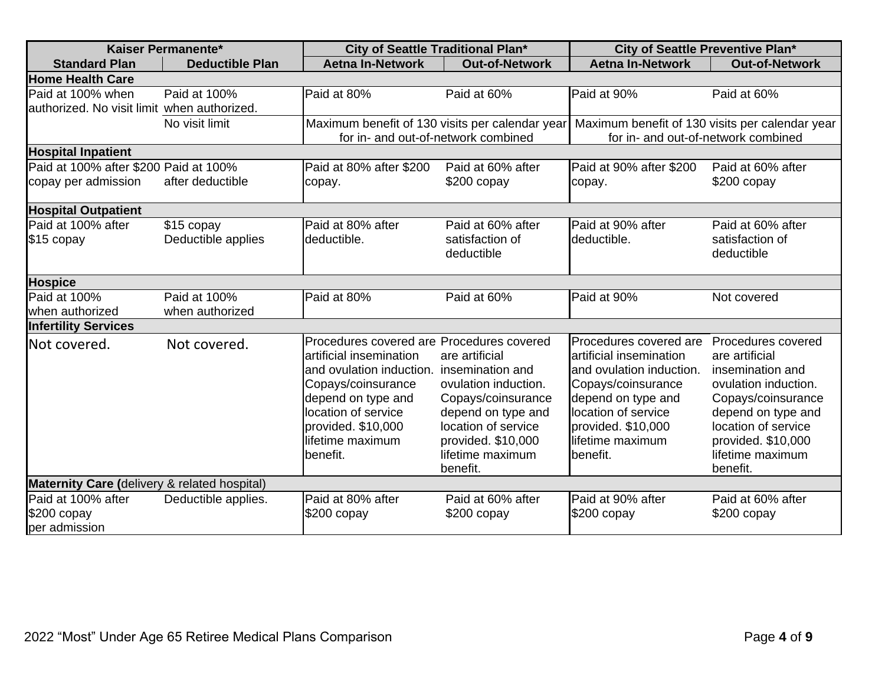| Kaiser Permanente*                           |                                  | City of Seattle Traditional Plan*                                                                                                                                                                                         |                                                                                                                                                                                     | City of Seattle Preventive Plan*                                                                                                                                                                       |                                                                                                                                                                                                           |
|----------------------------------------------|----------------------------------|---------------------------------------------------------------------------------------------------------------------------------------------------------------------------------------------------------------------------|-------------------------------------------------------------------------------------------------------------------------------------------------------------------------------------|--------------------------------------------------------------------------------------------------------------------------------------------------------------------------------------------------------|-----------------------------------------------------------------------------------------------------------------------------------------------------------------------------------------------------------|
| <b>Standard Plan</b>                         | <b>Deductible Plan</b>           | <b>Aetna In-Network</b>                                                                                                                                                                                                   | <b>Out-of-Network</b>                                                                                                                                                               | <b>Aetna In-Network</b>                                                                                                                                                                                | <b>Out-of-Network</b>                                                                                                                                                                                     |
| <b>Home Health Care</b>                      |                                  |                                                                                                                                                                                                                           |                                                                                                                                                                                     |                                                                                                                                                                                                        |                                                                                                                                                                                                           |
| Paid at 100% when                            | Paid at 100%                     | Paid at 80%                                                                                                                                                                                                               | Paid at 60%                                                                                                                                                                         | Paid at 90%                                                                                                                                                                                            | Paid at 60%                                                                                                                                                                                               |
| authorized. No visit limit when authorized.  |                                  |                                                                                                                                                                                                                           |                                                                                                                                                                                     |                                                                                                                                                                                                        |                                                                                                                                                                                                           |
|                                              | No visit limit                   | for in- and out-of-network combined                                                                                                                                                                                       |                                                                                                                                                                                     | Maximum benefit of 130 visits per calendar year Maximum benefit of 130 visits per calendar year<br>for in- and out-of-network combined                                                                 |                                                                                                                                                                                                           |
| <b>Hospital Inpatient</b>                    |                                  |                                                                                                                                                                                                                           |                                                                                                                                                                                     |                                                                                                                                                                                                        |                                                                                                                                                                                                           |
| Paid at 100% after \$200 Paid at 100%        |                                  | Paid at 80% after \$200                                                                                                                                                                                                   | Paid at 60% after                                                                                                                                                                   | Paid at 90% after \$200                                                                                                                                                                                | Paid at 60% after                                                                                                                                                                                         |
| copay per admission                          | after deductible                 | copay.                                                                                                                                                                                                                    | $$200$ copay                                                                                                                                                                        | copay.                                                                                                                                                                                                 | $$200$ copay                                                                                                                                                                                              |
| <b>Hospital Outpatient</b>                   |                                  |                                                                                                                                                                                                                           |                                                                                                                                                                                     |                                                                                                                                                                                                        |                                                                                                                                                                                                           |
| Paid at 100% after<br>\$15 copay             | \$15 copay<br>Deductible applies | Paid at 80% after<br>deductible.                                                                                                                                                                                          | Paid at 60% after<br>satisfaction of<br>deductible                                                                                                                                  | Paid at 90% after<br>deductible.                                                                                                                                                                       | Paid at 60% after<br>satisfaction of<br>deductible                                                                                                                                                        |
| <b>Hospice</b>                               |                                  |                                                                                                                                                                                                                           |                                                                                                                                                                                     |                                                                                                                                                                                                        |                                                                                                                                                                                                           |
| Paid at 100%                                 | Paid at 100%                     | Paid at 80%                                                                                                                                                                                                               | Paid at 60%                                                                                                                                                                         | Paid at 90%                                                                                                                                                                                            | Not covered                                                                                                                                                                                               |
| when authorized                              | when authorized                  |                                                                                                                                                                                                                           |                                                                                                                                                                                     |                                                                                                                                                                                                        |                                                                                                                                                                                                           |
| <b>Infertility Services</b>                  |                                  |                                                                                                                                                                                                                           |                                                                                                                                                                                     |                                                                                                                                                                                                        |                                                                                                                                                                                                           |
| Not covered.                                 | Not covered.                     | Procedures covered are Procedures covered<br>artificial insemination<br>and ovulation induction.<br>Copays/coinsurance<br>depend on type and<br>location of service<br>provided. \$10,000<br>lifetime maximum<br>benefit. | are artificial<br>insemination and<br>ovulation induction.<br>Copays/coinsurance<br>depend on type and<br>location of service<br>provided. \$10,000<br>lifetime maximum<br>benefit. | Procedures covered are<br>artificial insemination<br>and ovulation induction.<br>Copays/coinsurance<br>depend on type and<br>location of service<br>provided. \$10,000<br>lifetime maximum<br>benefit. | Procedures covered<br>are artificial<br>insemination and<br>ovulation induction.<br>Copays/coinsurance<br>depend on type and<br>location of service<br>provided. \$10,000<br>lifetime maximum<br>benefit. |
| Maternity Care (delivery & related hospital) |                                  |                                                                                                                                                                                                                           |                                                                                                                                                                                     |                                                                                                                                                                                                        |                                                                                                                                                                                                           |
| Paid at 100% after                           | Deductible applies.              | Paid at 80% after                                                                                                                                                                                                         | Paid at 60% after                                                                                                                                                                   | Paid at 90% after                                                                                                                                                                                      | Paid at 60% after                                                                                                                                                                                         |
| \$200 copay<br>per admission                 |                                  | \$200 copay                                                                                                                                                                                                               | $$200$ copay                                                                                                                                                                        | $$200$ copay                                                                                                                                                                                           | $$200$ copay                                                                                                                                                                                              |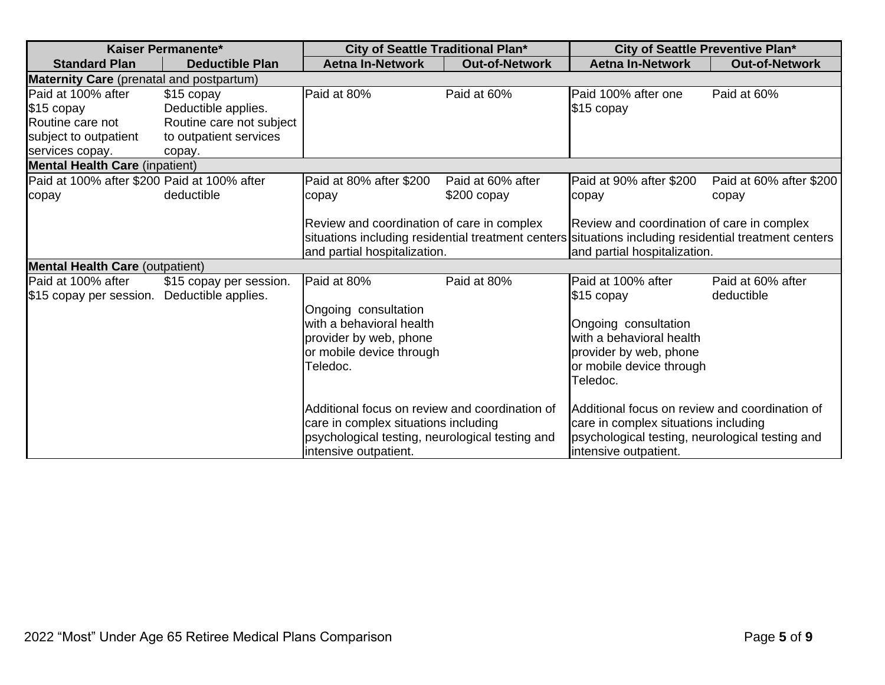| Kaiser Permanente*                                                                               |                                                                                                   | City of Seattle Traditional Plan*                                                                                                                                  |                                   | City of Seattle Preventive Plan*                                                                                                                                                    |                                  |
|--------------------------------------------------------------------------------------------------|---------------------------------------------------------------------------------------------------|--------------------------------------------------------------------------------------------------------------------------------------------------------------------|-----------------------------------|-------------------------------------------------------------------------------------------------------------------------------------------------------------------------------------|----------------------------------|
| <b>Standard Plan</b>                                                                             | <b>Deductible Plan</b>                                                                            | <b>Aetna In-Network</b>                                                                                                                                            | <b>Out-of-Network</b>             | <b>Aetna In-Network</b>                                                                                                                                                             | <b>Out-of-Network</b>            |
| <b>Maternity Care</b> (prenatal and postpartum)                                                  |                                                                                                   |                                                                                                                                                                    |                                   |                                                                                                                                                                                     |                                  |
| Paid at 100% after<br>\$15 copay<br>Routine care not<br>subject to outpatient<br>services copay. | \$15 copay<br>Deductible applies.<br>Routine care not subject<br>to outpatient services<br>copay. | Paid at 80%                                                                                                                                                        | Paid at 60%                       | Paid 100% after one<br>\$15 copay                                                                                                                                                   | Paid at 60%                      |
| <b>Mental Health Care (inpatient)</b>                                                            |                                                                                                   |                                                                                                                                                                    |                                   |                                                                                                                                                                                     |                                  |
| Paid at 100% after \$200 Paid at 100% after<br>copay                                             | deductible                                                                                        | Paid at 80% after \$200<br>copay                                                                                                                                   | Paid at 60% after<br>$$200$ copay | Paid at 90% after \$200<br>copay                                                                                                                                                    | Paid at 60% after \$200<br>copay |
|                                                                                                  |                                                                                                   | Review and coordination of care in complex<br>and partial hospitalization.                                                                                         |                                   | Review and coordination of care in complex<br>situations including residential treatment centers situations including residential treatment centers<br>and partial hospitalization. |                                  |
| <b>Mental Health Care (outpatient)</b>                                                           |                                                                                                   |                                                                                                                                                                    |                                   |                                                                                                                                                                                     |                                  |
| Paid at 100% after<br>\$15 copay per session.                                                    | \$15 copay per session.<br>Deductible applies.                                                    | Paid at 80%<br>Ongoing consultation<br>with a behavioral health<br>provider by web, phone<br>or mobile device through<br>Teledoc.                                  | Paid at 80%                       | Paid at 100% after<br>\$15 copay<br>Ongoing consultation<br>with a behavioral health<br>provider by web, phone<br>or mobile device through<br>Teledoc.                              | Paid at 60% after<br>deductible  |
|                                                                                                  |                                                                                                   | Additional focus on review and coordination of<br>care in complex situations including<br>psychological testing, neurological testing and<br>intensive outpatient. |                                   | Additional focus on review and coordination of<br>care in complex situations including<br>psychological testing, neurological testing and<br>intensive outpatient.                  |                                  |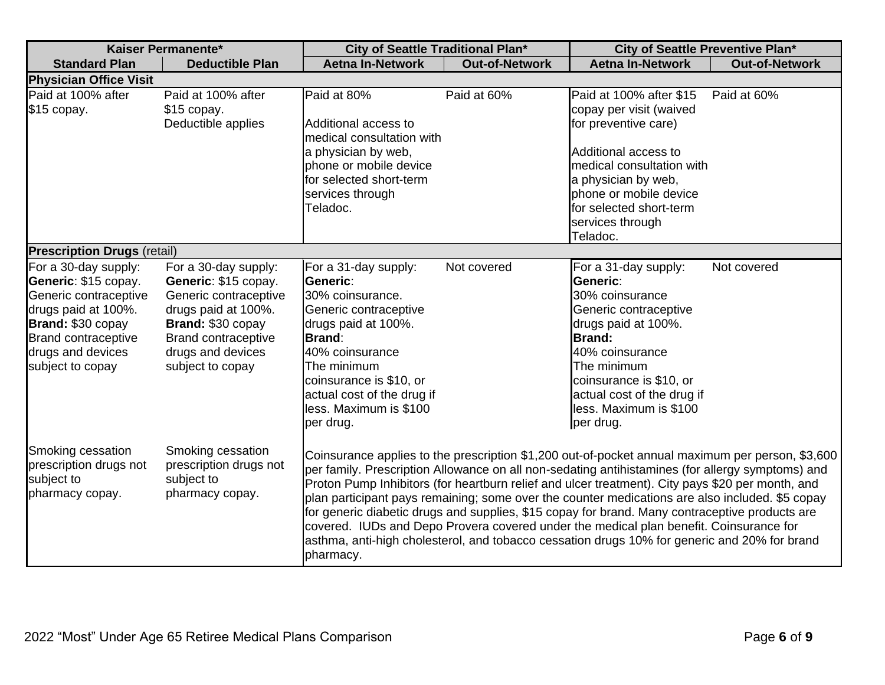| Kaiser Permanente*                                                                                                                                                                       |                                                                                                                                                                                          | City of Seattle Traditional Plan*                                                                                                                                                                                                                       |                       | City of Seattle Preventive Plan*                                                                                                                                                                                                                                                                                                                                                                                                                                                                                                                                                                                                                                                                        |                       |
|------------------------------------------------------------------------------------------------------------------------------------------------------------------------------------------|------------------------------------------------------------------------------------------------------------------------------------------------------------------------------------------|---------------------------------------------------------------------------------------------------------------------------------------------------------------------------------------------------------------------------------------------------------|-----------------------|---------------------------------------------------------------------------------------------------------------------------------------------------------------------------------------------------------------------------------------------------------------------------------------------------------------------------------------------------------------------------------------------------------------------------------------------------------------------------------------------------------------------------------------------------------------------------------------------------------------------------------------------------------------------------------------------------------|-----------------------|
| <b>Standard Plan</b>                                                                                                                                                                     | <b>Deductible Plan</b>                                                                                                                                                                   | <b>Aetna In-Network</b>                                                                                                                                                                                                                                 | <b>Out-of-Network</b> | <b>Aetna In-Network</b>                                                                                                                                                                                                                                                                                                                                                                                                                                                                                                                                                                                                                                                                                 | <b>Out-of-Network</b> |
| <b>Physician Office Visit</b>                                                                                                                                                            |                                                                                                                                                                                          |                                                                                                                                                                                                                                                         |                       |                                                                                                                                                                                                                                                                                                                                                                                                                                                                                                                                                                                                                                                                                                         |                       |
| Paid at 100% after<br>\$15 copay.                                                                                                                                                        | Paid at 100% after<br>\$15 copay.<br>Deductible applies                                                                                                                                  | Paid at 80%<br>Additional access to<br>medical consultation with<br>a physician by web,<br>phone or mobile device<br>for selected short-term<br>services through<br>Teladoc.                                                                            | Paid at 60%           | Paid at 100% after \$15<br>copay per visit (waived<br>for preventive care)<br>Additional access to<br>medical consultation with<br>a physician by web,<br>phone or mobile device<br>for selected short-term<br>services through<br>Teladoc.                                                                                                                                                                                                                                                                                                                                                                                                                                                             | Paid at 60%           |
| <b>Prescription Drugs (retail)</b>                                                                                                                                                       |                                                                                                                                                                                          |                                                                                                                                                                                                                                                         |                       |                                                                                                                                                                                                                                                                                                                                                                                                                                                                                                                                                                                                                                                                                                         |                       |
| For a 30-day supply:<br>Generic: \$15 copay.<br>Generic contraceptive<br>drugs paid at 100%.<br>Brand: \$30 copay<br><b>Brand contraceptive</b><br>drugs and devices<br>subject to copay | For a 30-day supply:<br>Generic: \$15 copay.<br>Generic contraceptive<br>drugs paid at 100%.<br>Brand: \$30 copay<br><b>Brand contraceptive</b><br>drugs and devices<br>subject to copay | For a 31-day supply:<br>Generic:<br>30% coinsurance.<br>Generic contraceptive<br>drugs paid at 100%.<br><b>Brand:</b><br>40% coinsurance<br>The minimum<br>coinsurance is \$10, or<br>actual cost of the drug if<br>less. Maximum is \$100<br>per drug. | Not covered           | For a 31-day supply:<br>Generic:<br>30% coinsurance<br>Generic contraceptive<br>drugs paid at 100%.<br><b>Brand:</b><br>40% coinsurance<br>The minimum<br>coinsurance is \$10, or<br>actual cost of the drug if<br>less. Maximum is \$100<br>per drug.                                                                                                                                                                                                                                                                                                                                                                                                                                                  | Not covered           |
| Smoking cessation<br>prescription drugs not<br>subject to<br>pharmacy copay.                                                                                                             | Smoking cessation<br>prescription drugs not<br>subject to<br>pharmacy copay.                                                                                                             | pharmacy.                                                                                                                                                                                                                                               |                       | Coinsurance applies to the prescription \$1,200 out-of-pocket annual maximum per person, \$3,600<br>per family. Prescription Allowance on all non-sedating antihistamines (for allergy symptoms) and<br>Proton Pump Inhibitors (for heartburn relief and ulcer treatment). City pays \$20 per month, and<br>plan participant pays remaining; some over the counter medications are also included. \$5 copay<br>for generic diabetic drugs and supplies, \$15 copay for brand. Many contraceptive products are<br>covered. IUDs and Depo Provera covered under the medical plan benefit. Coinsurance for<br>asthma, anti-high cholesterol, and tobacco cessation drugs 10% for generic and 20% for brand |                       |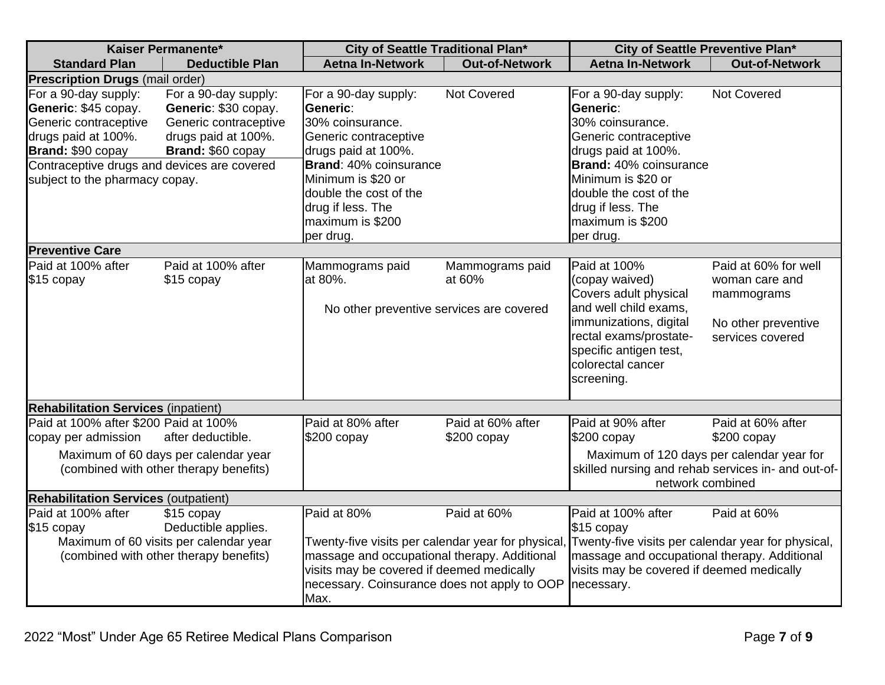| Kaiser Permanente*                                                                                                                                               |                                                                                                                       | City of Seattle Traditional Plan*                                                                                                                                                                                     |                                   | City of Seattle Preventive Plan*                                                                                                                                                                   |                                                      |
|------------------------------------------------------------------------------------------------------------------------------------------------------------------|-----------------------------------------------------------------------------------------------------------------------|-----------------------------------------------------------------------------------------------------------------------------------------------------------------------------------------------------------------------|-----------------------------------|----------------------------------------------------------------------------------------------------------------------------------------------------------------------------------------------------|------------------------------------------------------|
| <b>Standard Plan</b>                                                                                                                                             | <b>Deductible Plan</b>                                                                                                | <b>Aetna In-Network</b>                                                                                                                                                                                               | <b>Out-of-Network</b>             | <b>Aetna In-Network</b>                                                                                                                                                                            | <b>Out-of-Network</b>                                |
| <b>Prescription Drugs (mail order)</b>                                                                                                                           |                                                                                                                       |                                                                                                                                                                                                                       |                                   |                                                                                                                                                                                                    |                                                      |
| For a 90-day supply:<br>Generic: \$45 copay.<br>Generic contraceptive<br>drugs paid at 100%.<br>Brand: \$90 copay<br>Contraceptive drugs and devices are covered | For a 90-day supply:<br>Generic: \$30 copay.<br>Generic contraceptive<br>drugs paid at 100%.<br>Brand: \$60 copay     | For a 90-day supply:<br>Generic:<br>30% coinsurance.<br>Generic contraceptive<br>drugs paid at 100%.<br>Brand: 40% coinsurance                                                                                        | <b>Not Covered</b>                | For a 90-day supply:<br>Generic:<br>30% coinsurance.<br>Generic contraceptive<br>drugs paid at 100%.<br><b>Brand:</b> 40% coinsurance                                                              | Not Covered                                          |
| subject to the pharmacy copay.                                                                                                                                   |                                                                                                                       | Minimum is \$20 or<br>double the cost of the<br>drug if less. The<br>maximum is \$200<br>per drug.                                                                                                                    |                                   | Minimum is \$20 or<br>double the cost of the<br>drug if less. The<br>maximum is \$200<br>per drug.                                                                                                 |                                                      |
| <b>Preventive Care</b>                                                                                                                                           |                                                                                                                       |                                                                                                                                                                                                                       |                                   |                                                                                                                                                                                                    |                                                      |
| Paid at 100% after<br>\$15 copay                                                                                                                                 | Paid at 100% after<br>\$15 copay                                                                                      | Mammograms paid<br>at 80%.                                                                                                                                                                                            | Mammograms paid<br>at 60%         | Paid at 100%<br>(copay waived)<br>Covers adult physical                                                                                                                                            | Paid at 60% for well<br>woman care and<br>mammograms |
|                                                                                                                                                                  |                                                                                                                       | No other preventive services are covered                                                                                                                                                                              |                                   | and well child exams,<br>immunizations, digital<br>rectal exams/prostate-<br>specific antigen test,<br>colorectal cancer<br>screening.                                                             | No other preventive<br>services covered              |
| <b>Rehabilitation Services (inpatient)</b>                                                                                                                       |                                                                                                                       |                                                                                                                                                                                                                       |                                   |                                                                                                                                                                                                    |                                                      |
| Paid at 100% after \$200 Paid at 100%<br>copay per admission                                                                                                     | after deductible.                                                                                                     | Paid at 80% after<br>$$200$ copay                                                                                                                                                                                     | Paid at 60% after<br>$$200$ copay | Paid at 90% after<br>\$200 copay                                                                                                                                                                   | Paid at 60% after<br>$$200$ copay                    |
|                                                                                                                                                                  | Maximum of 60 days per calendar year<br>(combined with other therapy benefits)                                        |                                                                                                                                                                                                                       |                                   | Maximum of 120 days per calendar year for<br>skilled nursing and rehab services in- and out-of-<br>network combined                                                                                |                                                      |
| <b>Rehabilitation Services (outpatient)</b>                                                                                                                      |                                                                                                                       |                                                                                                                                                                                                                       |                                   |                                                                                                                                                                                                    |                                                      |
| Paid at 100% after<br>\$15 copay                                                                                                                                 | \$15 copay<br>Deductible applies.<br>Maximum of 60 visits per calendar year<br>(combined with other therapy benefits) | Paid at 80%<br>Twenty-five visits per calendar year for physical<br>massage and occupational therapy. Additional<br>visits may be covered if deemed medically<br>necessary. Coinsurance does not apply to OOP<br>Max. | Paid at 60%                       | Paid at 100% after<br>$$15$ copay<br>Twenty-five visits per calendar year for physical,<br>massage and occupational therapy. Additional<br>visits may be covered if deemed medically<br>necessary. | Paid at 60%                                          |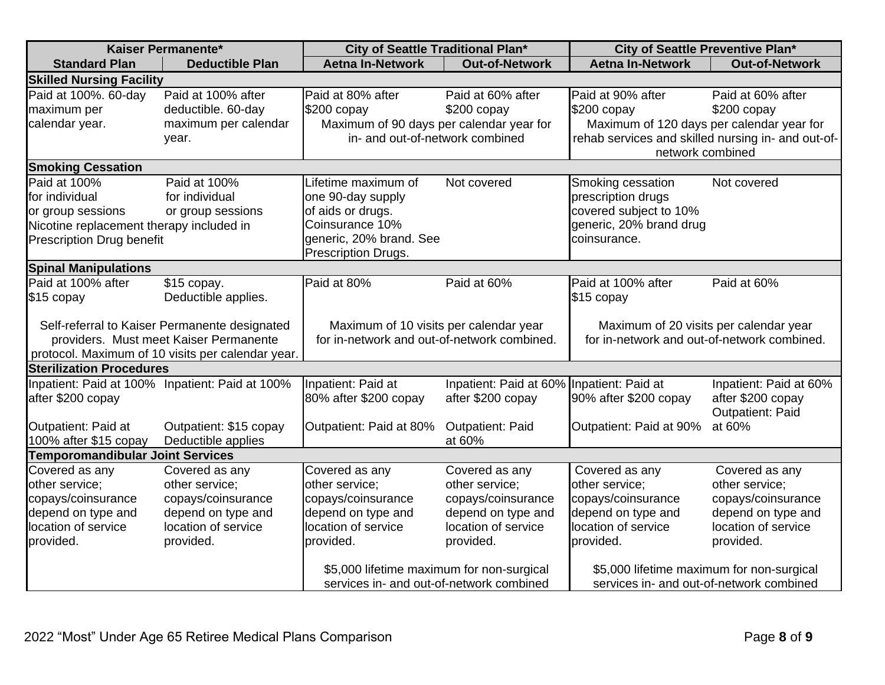| Kaiser Permanente*                            |                                                   | City of Seattle Traditional Plan*           |                                           | City of Seattle Preventive Plan*                                       |                                              |
|-----------------------------------------------|---------------------------------------------------|---------------------------------------------|-------------------------------------------|------------------------------------------------------------------------|----------------------------------------------|
| <b>Standard Plan</b>                          | <b>Deductible Plan</b>                            | <b>Aetna In-Network</b>                     | <b>Out-of-Network</b>                     | <b>Aetna In-Network</b>                                                | <b>Out-of-Network</b>                        |
| <b>Skilled Nursing Facility</b>               |                                                   |                                             |                                           |                                                                        |                                              |
| Paid at 100%. 60-day                          | Paid at 100% after                                | Paid at 80% after                           | Paid at 60% after                         | Paid at 90% after                                                      | Paid at 60% after                            |
| maximum per                                   | deductible. 60-day                                | $$200$ copay                                | $$200$ copay                              | $$200$ copay                                                           | $$200$ copay                                 |
| calendar year.                                | maximum per calendar                              | Maximum of 90 days per calendar year for    |                                           | Maximum of 120 days per calendar year for                              |                                              |
|                                               | year.                                             | in- and out-of-network combined             |                                           | rehab services and skilled nursing in- and out-of-<br>network combined |                                              |
| <b>Smoking Cessation</b>                      |                                                   |                                             |                                           |                                                                        |                                              |
| Paid at 100%                                  | Paid at 100%                                      | Lifetime maximum of                         | Not covered                               | Smoking cessation                                                      | Not covered                                  |
| for individual                                | for individual                                    | one 90-day supply                           |                                           | prescription drugs                                                     |                                              |
| or group sessions                             | or group sessions                                 | of aids or drugs.                           |                                           | covered subject to 10%                                                 |                                              |
| Nicotine replacement therapy included in      |                                                   | Coinsurance 10%                             |                                           | generic, 20% brand drug                                                |                                              |
| <b>Prescription Drug benefit</b>              |                                                   | generic, 20% brand. See                     |                                           | coinsurance.                                                           |                                              |
|                                               |                                                   | Prescription Drugs.                         |                                           |                                                                        |                                              |
| <b>Spinal Manipulations</b>                   |                                                   |                                             |                                           |                                                                        |                                              |
| Paid at 100% after                            | \$15 copay.                                       | Paid at 80%                                 | Paid at 60%                               | Paid at 100% after                                                     | Paid at 60%                                  |
| \$15 copay                                    | Deductible applies.                               |                                             |                                           | $$15$ copay                                                            |                                              |
| Self-referral to Kaiser Permanente designated |                                                   | Maximum of 10 visits per calendar year      |                                           | Maximum of 20 visits per calendar year                                 |                                              |
|                                               | providers. Must meet Kaiser Permanente            | for in-network and out-of-network combined. |                                           | for in-network and out-of-network combined.                            |                                              |
|                                               | protocol. Maximum of 10 visits per calendar year. |                                             |                                           |                                                                        |                                              |
| <b>Sterilization Procedures</b>               |                                                   |                                             |                                           |                                                                        |                                              |
|                                               | Inpatient: Paid at 100% Inpatient: Paid at 100%   | Inpatient: Paid at                          | Inpatient: Paid at 60% Inpatient: Paid at |                                                                        | Inpatient: Paid at 60%                       |
| after \$200 copay                             |                                                   | 80% after \$200 copay                       | after \$200 copay                         | 90% after \$200 copay                                                  | after \$200 copay<br><b>Outpatient: Paid</b> |
| Outpatient: Paid at                           | Outpatient: \$15 copay                            | Outpatient: Paid at 80%                     | Outpatient: Paid                          | Outpatient: Paid at 90%                                                | at 60%                                       |
| 100% after \$15 copay                         | Deductible applies                                |                                             | at 60%                                    |                                                                        |                                              |
| <b>Temporomandibular Joint Services</b>       |                                                   |                                             |                                           |                                                                        |                                              |
| Covered as any                                | Covered as any                                    | Covered as any                              | Covered as any                            | Covered as any                                                         | Covered as any                               |
| other service;                                | other service;                                    | other service;                              | other service;                            | other service;                                                         | other service;                               |
| copays/coinsurance                            | copays/coinsurance                                | copays/coinsurance                          | copays/coinsurance                        | copays/coinsurance                                                     | copays/coinsurance                           |
| depend on type and                            | depend on type and                                | depend on type and                          | depend on type and                        | depend on type and                                                     | depend on type and                           |
| location of service                           | location of service                               | location of service                         | location of service                       | location of service                                                    | location of service                          |
| provided.                                     | provided.                                         | provided.                                   | provided.                                 | provided.                                                              | provided.                                    |
|                                               |                                                   | \$5,000 lifetime maximum for non-surgical   |                                           | \$5,000 lifetime maximum for non-surgical                              |                                              |
|                                               |                                                   | services in- and out-of-network combined    |                                           | services in- and out-of-network combined                               |                                              |